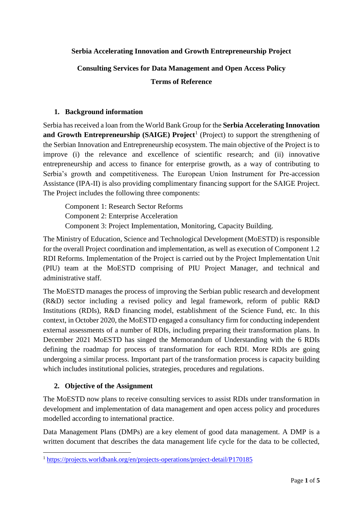#### **Serbia Accelerating Innovation and Growth Entrepreneurship Project**

# **Consulting Services for Data Management and Open Access Policy Terms of Reference**

#### **1. Background information**

Serbia has received a loan from the World Bank Group for the **Serbia Accelerating Innovation**  and Growth Entrepreneurship (SAIGE) Project<sup>1</sup> (Project) to support the strengthening of the Serbian Innovation and Entrepreneurship ecosystem. The main objective of the Project is to improve (i) the relevance and excellence of scientific research; and (ii) innovative entrepreneurship and access to finance for enterprise growth, as a way of contributing to Serbia's growth and competitiveness. The European Union Instrument for Pre-accession Assistance (IPA-II) is also providing complimentary financing support for the SAIGE Project. The Project includes the following three components:

Component 1: Research Sector Reforms Component 2: Enterprise Acceleration Component 3: Project Implementation, Monitoring, Capacity Building.

The Ministry of Education, Science and Technological Development (MoESTD) is responsible for the overall Project coordination and implementation, as well as execution of Component 1.2 RDI Reforms. Implementation of the Project is carried out by the Project Implementation Unit (PIU) team at the MoESTD comprising of PIU Project Manager, and technical and administrative staff.

The MoESTD manages the process of improving the Serbian public research and development (R&D) sector including a revised policy and legal framework, reform of public R&D Institutions (RDIs), R&D financing model, establishment of the Science Fund, etc. In this context, in October 2020, the MoESTD engaged a consultancy firm for conducting independent external assessments of a number of RDIs, including preparing their transformation plans. In December 2021 MoESTD has singed the Memorandum of Understanding with the 6 RDIs defining the roadmap for process of transformation for each RDI. More RDIs are going undergoing a similar process. Important part of the transformation process is capacity building which includes institutional policies, strategies, procedures and regulations.

#### **2. Objective of the Assignment**

The MoESTD now plans to receive consulting services to assist RDIs under transformation in development and implementation of data management and open access policy and procedures modelled according to international practice.

Data Management Plans (DMPs) are a key element of good data management. A DMP is a written document that describes the data management life cycle for the data to be collected,

**<sup>.</sup>** <sup>1</sup> <https://projects.worldbank.org/en/projects-operations/project-detail/P170185>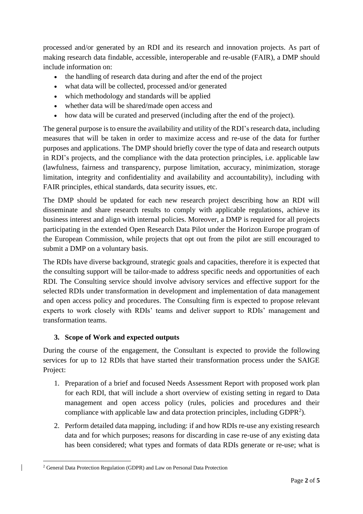processed and/or generated by an RDI and its research and innovation projects. As part of making research data findable, accessible, interoperable and re-usable (FAIR), a DMP should include information on:

- the handling of research data during and after the end of the project
- what data will be collected, processed and/or generated
- which methodology and standards will be applied
- whether data will be shared/made open access and
- how data will be curated and preserved (including after the end of the project).

The general purpose is to ensure the availability and utility of the RDI's research data, including measures that will be taken in order to maximize access and re-use of the data for further purposes and applications. The DMP should briefly cover the type of data and research outputs in RDI's projects, and the compliance with the data protection principles, i.e. applicable law (lawfulness, fairness and transparency, purpose limitation, accuracy, minimization, storage limitation, integrity and confidentiality and availability and accountability), including with FAIR principles, ethical standards, data security issues, etc.

The DMP should be updated for each new research project describing how an RDI will disseminate and share research results to comply with applicable regulations, achieve its business interest and align with internal policies. Moreover, a DMP is required for all projects participating in the extended Open Research Data Pilot under the Horizon Europe program of the European Commission, while projects that opt out from the pilot are still encouraged to submit a DMP on a voluntary basis.

The RDIs have diverse background, strategic goals and capacities, therefore it is expected that the consulting support will be tailor-made to address specific needs and opportunities of each RDI. The Consulting service should involve advisory services and effective support for the selected RDIs under transformation in development and implementation of data management and open access policy and procedures. The Consulting firm is expected to propose relevant experts to work closely with RDIs' teams and deliver support to RDIs' management and transformation teams.

## **3. Scope of Work and expected outputs**

During the course of the engagement, the Consultant is expected to provide the following services for up to 12 RDIs that have started their transformation process under the SAIGE Project:

- 1. Preparation of a brief and focused Needs Assessment Report with proposed work plan for each RDI, that will include a short overview of existing setting in regard to Data management and open access policy (rules, policies and procedures and their compliance with applicable law and data protection principles, including  $GDPR<sup>2</sup>$ ).
- 2. Perform detailed data mapping, including: if and how RDIs re-use any existing research data and for which purposes; reasons for discarding in case re-use of any existing data has been considered; what types and formats of data RDIs generate or re-use; what is

**<sup>.</sup>** <sup>2</sup> General Data Protection Regulation (GDPR) and Law on Personal Data Protection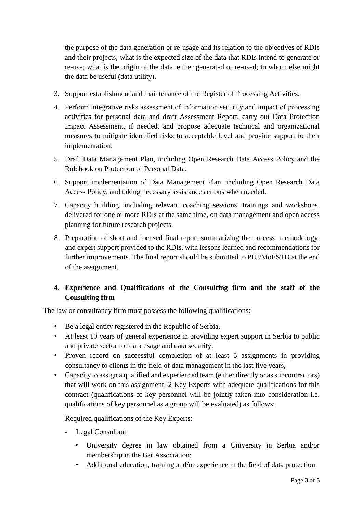the purpose of the data generation or re-usage and its relation to the objectives of RDIs and their projects; what is the expected size of the data that RDIs intend to generate or re-use; what is the origin of the data, either generated or re-used; to whom else might the data be useful (data utility).

- 3. Support establishment and maintenance of the Register of Processing Activities.
- 4. Perform integrative risks assessment of information security and impact of processing activities for personal data and draft Assessment Report, carry out Data Protection Impact Assessment, if needed, and propose adequate technical and organizational measures to mitigate identified risks to acceptable level and provide support to their implementation.
- 5. Draft Data Management Plan, including Open Research Data Access Policy and the Rulebook on Protection of Personal Data.
- 6. Support implementation of Data Management Plan, including Open Research Data Access Policy, and taking necessary assistance actions when needed.
- 7. Capacity building, including relevant coaching sessions, trainings and workshops, delivered for one or more RDIs at the same time, on data management and open access planning for future research projects.
- 8. Preparation of short and focused final report summarizing the process, methodology, and expert support provided to the RDIs, with lessons learned and recommendations for further improvements. The final report should be submitted to PIU/MoESTD at the end of the assignment.

# **4. Experience and Qualifications of the Consulting firm and the staff of the Consulting firm**

The law or consultancy firm must possess the following qualifications:

- Be a legal entity registered in the Republic of Serbia,
- At least 10 years of general experience in providing expert support in Serbia to public and private sector for data usage and data security,
- Proven record on successful completion of at least 5 assignments in providing consultancy to clients in the field of data management in the last five years,
- Capacity to assign a qualified and experienced team (either directly or as subcontractors) that will work on this assignment: 2 Key Experts with adequate qualifications for this contract (qualifications of key personnel will be jointly taken into consideration i.e. qualifications of key personnel as a group will be evaluated) as follows:

Required qualifications of the Key Experts:

- Legal Consultant
	- University degree in law obtained from a University in Serbia and/or membership in the Bar Association;
	- Additional education, training and/or experience in the field of data protection;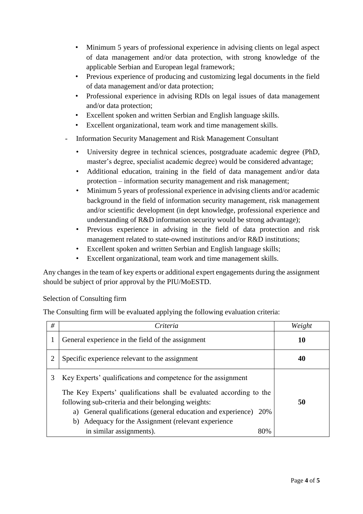- Minimum 5 years of professional experience in advising clients on legal aspect of data management and/or data protection, with strong knowledge of the applicable Serbian and European legal framework;
- Previous experience of producing and customizing legal documents in the field of data management and/or data protection;
- Professional experience in advising RDIs on legal issues of data management and/or data protection;
- Excellent spoken and written Serbian and English language skills.
- Excellent organizational, team work and time management skills.
- Information Security Management and Risk Management Consultant
	- University degree in technical sciences, postgraduate academic degree (PhD, master's degree, specialist academic degree) would be considered advantage;
	- Additional education, training in the field of data management and/or data protection – information security management and risk management;
	- Minimum 5 years of professional experience in advising clients and/or academic background in the field of information security management, risk management and/or scientific development (in dept knowledge, professional experience and understanding of R&D information security would be strong advantage);
	- Previous experience in advising in the field of data protection and risk management related to state-owned institutions and/or R&D institutions;
	- Excellent spoken and written Serbian and English language skills;
	- Excellent organizational, team work and time management skills.

Any changes in the team of key experts or additional expert engagements during the assignment should be subject of prior approval by the PIU/MoESTD.

#### Selection of Consulting firm

The Consulting firm will be evaluated applying the following evaluation criteria:

| # | Criteria                                                                                                                                                                                                                                                                                                                  | Weight |
|---|---------------------------------------------------------------------------------------------------------------------------------------------------------------------------------------------------------------------------------------------------------------------------------------------------------------------------|--------|
|   | General experience in the field of the assignment                                                                                                                                                                                                                                                                         | 10     |
|   | Specific experience relevant to the assignment                                                                                                                                                                                                                                                                            | 40     |
| 3 | Key Experts' qualifications and competence for the assignment<br>The Key Experts' qualifications shall be evaluated according to the<br>following sub-criteria and their belonging weights:<br>a) General qualifications (general education and experience)<br>20%<br>b) Adequacy for the Assignment (relevant experience | 50     |
|   | in similar assignments).<br>80%                                                                                                                                                                                                                                                                                           |        |